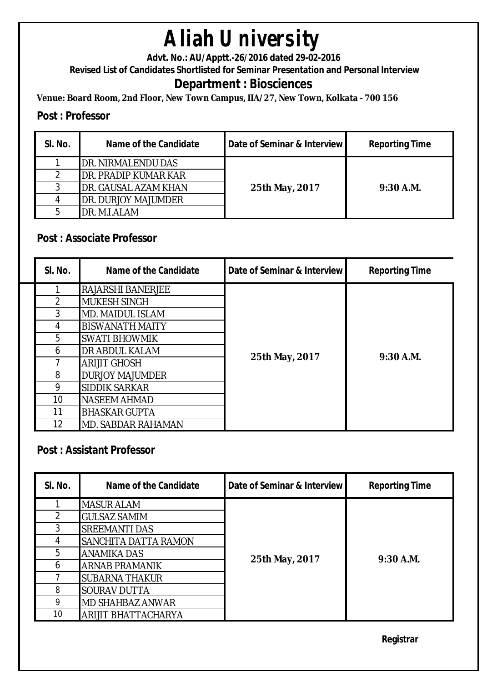**Advt. No.: AU/Apptt.-26/2016 dated 29-02-2016** 

**Revised List of Candidates Shortlisted for Seminar Presentation and Personal Interview**

### **Department : Biosciences**

**Venue: Board Room, 2nd Floor, New Town Campus, IIA/27, New Town, Kolkata - 700 156**

#### **Post : Professor**

| SI. No. | Name of the Candidate       | Date of Seminar & Interview | <b>Reporting Time</b> |
|---------|-----------------------------|-----------------------------|-----------------------|
|         | DR. NIRMALENDU DAS          |                             |                       |
|         | DR. PRADIP KUMAR KAR        |                             |                       |
|         | DR. GAUSAL AZAM KHAN        | 25th May, 2017              | $9:30$ A.M.           |
|         | <b>IDR. DURJOY MAJUMDER</b> |                             |                       |
|         | DR. M.I.ALAM                |                             |                       |

#### **Post : Associate Professor**

| SI. No.       | Name of the Candidate     | Date of Seminar & Interview | <b>Reporting Time</b> |
|---------------|---------------------------|-----------------------------|-----------------------|
|               | <b>RAJARSHI BANERJEE</b>  |                             |                       |
| $\mathcal{P}$ | <b>MUKESH SINGH</b>       |                             |                       |
| 3             | <b>MD. MAIDUL ISLAM</b>   |                             | $9:30$ A.M.           |
| 4             | <b>BISWANATH MAITY</b>    | 25th May, 2017              |                       |
| 5             | SWATI BHOWMIK             |                             |                       |
| 6             | <b>DR ABDUL KALAM</b>     |                             |                       |
|               | <b>ARIJIT GHOSH</b>       |                             |                       |
| 8             | <b>DURJOY MAJUMDER</b>    |                             |                       |
| 9             | SIDDIK SARKAR             |                             |                       |
| 10            | <b>NASEEM AHMAD</b>       |                             |                       |
| 11            | <b>BHASKAR GUPTA</b>      |                             |                       |
| 12            | <b>MD. SABDAR RAHAMAN</b> |                             |                       |

#### **Post : Assistant Professor**

| SI. No. | Name of the Candidate      | Date of Seminar & Interview | <b>Reporting Time</b> |
|---------|----------------------------|-----------------------------|-----------------------|
|         | <b>MASUR ALAM</b>          |                             |                       |
|         | <b>GULSAZ SAMIM</b>        |                             |                       |
| 3       | <b>SREEMANTI DAS</b>       |                             | $9:30$ A.M.           |
| 4       | SANCHITA DATTA RAMON       | 25th May, 2017              |                       |
| 5       | <b>ANAMIKA DAS</b>         |                             |                       |
| 6       | <b>ARNAB PRAMANIK</b>      |                             |                       |
|         | <b>SUBARNA THAKUR</b>      |                             |                       |
| 8       | <b>SOURAV DUTTA</b>        |                             |                       |
| 9       | <b>MD SHAHBAZ ANWAR</b>    |                             |                       |
| 10      | <b>ARIJIT BHATTACHARYA</b> |                             |                       |

**Registrar**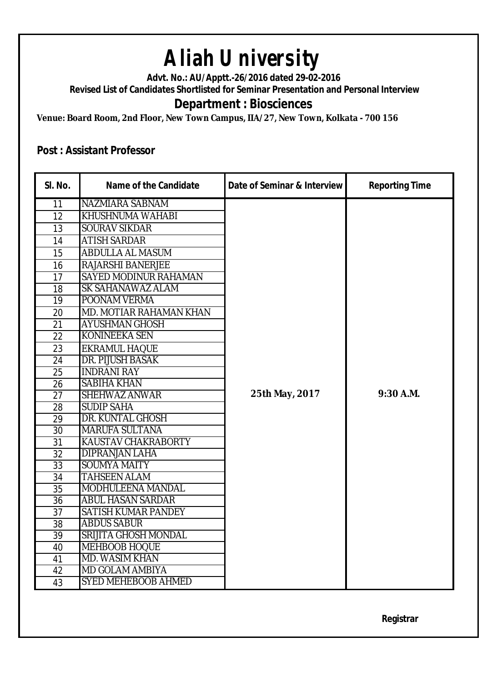**Advt. No.: AU/Apptt.-26/2016 dated 29-02-2016** 

**Revised List of Candidates Shortlisted for Seminar Presentation and Personal Interview**

### **Department : Biosciences**

**Venue: Board Room, 2nd Floor, New Town Campus, IIA/27, New Town, Kolkata - 700 156**

#### **Post : Assistant Professor**

| SI. No.         | <b>Name of the Candidate</b> | Date of Seminar & Interview | <b>Reporting Time</b> |
|-----------------|------------------------------|-----------------------------|-----------------------|
| 11              | NAZMIARA SABNAM              |                             |                       |
| 12              | KHUSHNUMA WAHABI             |                             |                       |
| 13              | <b>SOURAV SIKDAR</b>         |                             |                       |
| 14              | <b>ATISH SARDAR</b>          |                             |                       |
| 15              | ABDULLA AL MASUM             |                             |                       |
| 16              | RAJARSHI BANERJEE            |                             |                       |
| 17              | SAYED MODINUR RAHAMAN        |                             |                       |
| 18              | SK SAHANAWAZ ALAM            |                             |                       |
| 19              | POONAM VERMA                 |                             |                       |
| 20              | MD. MOTIAR RAHAMAN KHAN      |                             |                       |
| 21              | <b>AYUSHMAN GHOSH</b>        |                             |                       |
| 22              | <b>KONINEEKA SEN</b>         |                             |                       |
| 23              | <b>EKRAMUL HAQUE</b>         |                             |                       |
| 24              | <b>DR. PIJUSH BASAK</b>      |                             |                       |
| 25              | <b>INDRANI RAY</b>           |                             |                       |
| 26              | <b>SABIHA KHAN</b>           |                             |                       |
| 27              | <b>SHEHWAZ ANWAR</b>         | 25th May, 2017              | 9:30 A.M.             |
| 28              | <b>SUDIP SAHA</b>            |                             |                       |
| 29              | DR. KUNTAL GHOSH             |                             |                       |
| 30              | <b>MARUFA SULTANA</b>        |                             |                       |
| $\overline{31}$ | KAUSTAV CHAKRABORTY          |                             |                       |
| 32              | <b>DIPRANJAN LAHA</b>        |                             |                       |
| 33              | <b>SOUMYA MAITY</b>          |                             |                       |
| 34              | TAHSEEN ALAM                 |                             |                       |
| 35              | MODHULEENA MANDAL            |                             |                       |
| 36              | <b>ABUL HASAN SARDAR</b>     |                             |                       |
| 37              | SATISH KUMAR PANDEY          |                             |                       |
| 38              | <b>ABDUS SABUR</b>           |                             |                       |
| 39              | <b>SRIJITA GHOSH MONDAL</b>  |                             |                       |
| 40              | MEHBOOB HOQUE                |                             |                       |
| 41              | <b>MD. WASIM KHAN</b>        |                             |                       |
| 42              | <b>MD GOLAM AMBIYA</b>       |                             |                       |
| 43              | <b>SYED MEHEBOOB AHMED</b>   |                             |                       |

**Registrar**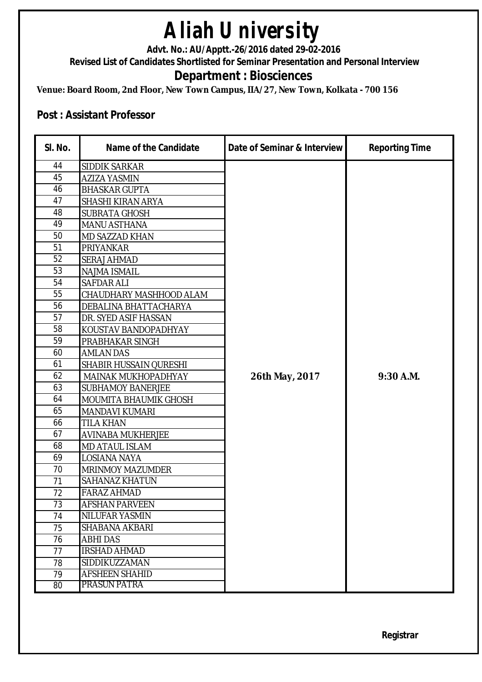**Advt. No.: AU/Apptt.-26/2016 dated 29-02-2016** 

**Revised List of Candidates Shortlisted for Seminar Presentation and Personal Interview**

### **Department : Biosciences**

**Venue: Board Room, 2nd Floor, New Town Campus, IIA/27, New Town, Kolkata - 700 156**

#### **Post : Assistant Professor**

| SI. No. | <b>Name of the Candidate</b>  | Date of Seminar & Interview | <b>Reporting Time</b> |
|---------|-------------------------------|-----------------------------|-----------------------|
| 44      | SIDDIK SARKAR                 |                             |                       |
| 45      | <b>AZIZA YASMIN</b>           |                             |                       |
| 46      | <b>BHASKAR GUPTA</b>          |                             |                       |
| 47      | SHASHI KIRAN ARYA             |                             |                       |
| 48      | <b>SUBRATA GHOSH</b>          |                             |                       |
| 49      | <b>MANU ASTHANA</b>           |                             |                       |
| 50      | MD SAZZAD KHAN                |                             |                       |
| 51      | PRIYANKAR                     |                             |                       |
| 52      | <b>SERAJ AHMAD</b>            |                             |                       |
| 53      | <b>NAJMA ISMAIL</b>           |                             |                       |
| 54      | <b>SAFDAR ALI</b>             |                             |                       |
| 55      | CHAUDHARY MASHHOOD ALAM       |                             |                       |
| 56      | DEBALINA BHATTACHARYA         |                             |                       |
| 57      | DR. SYED ASIF HASSAN          |                             |                       |
| 58      | KOUSTAV BANDOPADHYAY          |                             |                       |
| 59      | PRABHAKAR SINGH               |                             |                       |
| 60      | <b>AMLAN DAS</b>              |                             |                       |
| 61      | <b>SHABIR HUSSAIN QURESHI</b> |                             |                       |
| 62      | MAINAK MUKHOPADHYAY           | 26th May, 2017              | 9:30 A.M.             |
| 63      | <b>SUBHAMOY BANERJEE</b>      |                             |                       |
| 64      | MOUMITA BHAUMIK GHOSH         |                             |                       |
| 65      | MANDAVI KUMARI                |                             |                       |
| 66      | TILA KHAN                     |                             |                       |
| 67      | <b>AVINABA MUKHERJEE</b>      |                             |                       |
| 68      | <b>MD ATAUL ISLAM</b>         |                             |                       |
| 69      | LOSIANA NAYA                  |                             |                       |
| 70      | <b>MRINMOY MAZUMDER</b>       |                             |                       |
| 71      | SAHANAZ KHATUN                |                             |                       |
| 72      | <b>FARAZ AHMAD</b>            |                             |                       |
| 73      | <b>AFSHAN PARVEEN</b>         |                             |                       |
| 74      | NILUFAR YASMIN                |                             |                       |
| 75      | SHABANA AKBARI                |                             |                       |
| 76      | <b>ABHI DAS</b>               |                             |                       |
| 77      | <b>IRSHAD AHMAD</b>           |                             |                       |
| 78      | SIDDIKUZZAMAN                 |                             |                       |
| 79      | <b>AFSHEEN SHAHID</b>         |                             |                       |
| 80      | PRASUN PATRA                  |                             |                       |